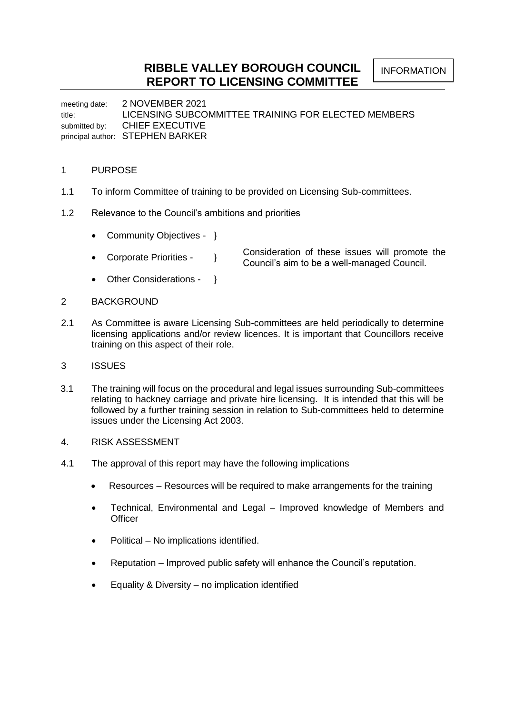meeting date: 2 NOVEMBER 2021 title: LICENSING SUBCOMMITTEE TRAINING FOR ELECTED MEMBERS submitted by: CHIEF EXECUTIVE principal author: STEPHEN BARKER

## 1 PURPOSE

- 1.1 To inform Committee of training to be provided on Licensing Sub-committees.
- 1.2 Relevance to the Council's ambitions and priorities
	- Community Objectives }
	- Corporate Priorities } Consideration of these issues will promote the Council's aim to be a well-managed Council.
	- Other Considerations }
- 2 BACKGROUND
- 2.1 As Committee is aware Licensing Sub-committees are held periodically to determine licensing applications and/or review licences. It is important that Councillors receive training on this aspect of their role.
- 3 ISSUES
- 3.1 The training will focus on the procedural and legal issues surrounding Sub-committees relating to hackney carriage and private hire licensing. It is intended that this will be followed by a further training session in relation to Sub-committees held to determine issues under the Licensing Act 2003.
- 4. RISK ASSESSMENT
- 4.1 The approval of this report may have the following implications
	- Resources Resources will be required to make arrangements for the training
	- Technical, Environmental and Legal Improved knowledge of Members and **Officer**
	- Political No implications identified.
	- Reputation Improved public safety will enhance the Council's reputation.
	- Equality & Diversity no implication identified